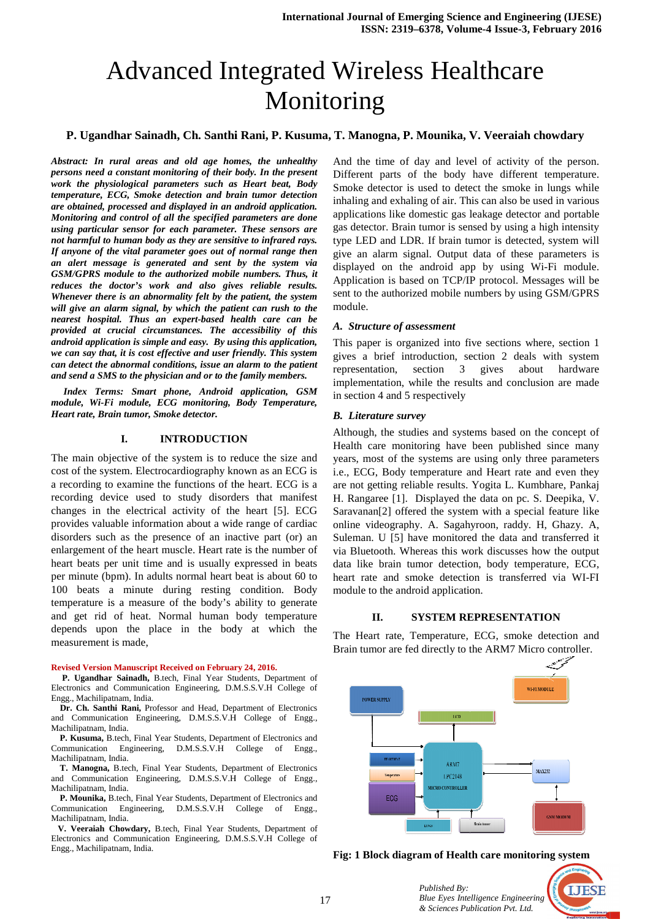# Advanced Integrated Wireless Healthcare Monitoring

#### P. Ugandhar Sainadh, Ch. Santhi Rani, P. Kusuma, T. Manogna, P. Mounika, V. Veeraiah chowdary

*Abstract: In rural areas and old age homes, the unhealthy persons need a constant monitoring of their body. In the present work the physiological parameters such as Heart beat, Body temperature, ECG, Smoke detection and brain tumor detection are obtained, processed and displayed in an android application.*  **Monitoring and control of all the specified parameters are done** *using particular sensor for each parameter. These sensors are not harmful to human body as they are sensitive to infrared rays. If anyone of the vital parameter goes out of normal range then an alert message is generated and sent by the system via GSM/GPRS module to the authorized mobile numbers. Thus, it reduces the doctor's work and also gives reliable results. Whenever there is an abnormality felt by the patient, the system will give an alarm signal, by which the patient can rush to the nearest hospital. Thus an expert-based health care can be provided at crucial circumstances. The accessibility of this android application is simple and easy. By using this application, mearest hospital. Thus an expert-based health care can be provided at crucial circumstances. The accessibility of this android application is simple and easy. By using this application, we can say that, it is cost effecti* can detect the abnormal conditions, issue an alarm to the patient *and send a SMS to the physician and or to the family members.*

 *Index Terms: Smart phone, Android application, GSM module, Wi-Fi module, ECG monitoring, Body Temperature, Heart rate, Brain tumor, Smoke detector.* 

#### **I. INTRODUCTION**

The main objective of the system is to reduce the size and cost of the system. Electrocardiography known as an ECG is a recording to examine the functions of the heart. ECG is a recording device used to study disorders that manifest changes in the electrical activity of the heart [5]. ECG provides valuable information about a wide range of cardiac disorders such as the presence of an inactive part (or) an enlargement of the heart muscle. Heart rate is the number of heart beats per unit time and is usually expressed in beats per minute (bpm). In adults normal heart beat is about 60 to per minute (bpm). In adults normal heart beat is about 60 to 100 beats a minute during resting condition. Body temperature is a measure of the body's ability to generate and get rid of heat. Normal human body temperature depends upon the place in the body at which the measurement is made,

#### **Revised Version Manuscript Received on February 24, 2016.**

 **P. Ugandhar Sainadh,** B.tech, Final Year Students, Department of Electronics and Communication Engineering, D.M.S.S.V.H College of Engg., Machilipatnam, India.

 **Dr. Ch. Santhi Rani,** Professor and Head, Department of Electronics and Communication Engineering, D.M.S.S.V.H College of Engg., Machilipatnam, India.

 **P. Kusuma,** B.tech, Final Year Students, Department of Electronics and Communication Engineering, D.M.S.S.V.H College of Engg., Machilipatnam, India.

T. Manogna, B.tech, Final Year Students, Department of Electronics and Communication Engineering, D.M.S.S.V.H College of Engg., Machilipatnam, India.

 **P. Mounika,** B.tech, Final Year Students, Department of Electronics and Communication Engineering, D.M.S.S.V.H College of Engg., Machilipatnam, India.

 **V. Veeraiah Chowdary,** B.tech, Final Year Students, Department of Electronics and Communication Engineering, D.M.S.S.V.H College of Engg., Machilipatnam, India.

And the time of day and level of activity of the person. Different parts of the body have different temperature. Smoke detector is used to detect the smoke in lungs while inhaling and exhaling of air. This can also be used in various applications like domestic gas leakage detector and portable gas detector. Brain tumor is sensed by using a high intensity type LED and LDR. If brain tumor is detected, system will give an alarm signal. Output data of these parameters is displayed on the android app by using Wi Wi-Fi module. Application is based on TCP/IP protocol. Messages will be sent to the authorized mobile numbers by using GSM/GPRS module.

#### *A. Structure of assessment*

This paper is organized into five sections where, section 1 gives a brief introduction, section 2 deals with system representation, section 3 gives about hardware implementation, while the results and conclusion are made in section 4 and 5 respectively mized into five sections where, section 1<br>oduction, section 2 deals with system<br>section 3 gives about hardware<br>hile the results and conclusion are made<br>espectively<br>ey<br>ies and systems based on the concept of<br>toring have bee

#### *B. Literature survey*

Although, the studies and systems based on the concept of Health care monitoring have been published since many years, most of the systems are using only three parameters i.e., ECG, Body temperature and Heart rate and even they are not getting reliable results. Yogita L. Kumbhare, Pankaj H. Rangaree [1]. Displayed the data on pc. S. Deepika, V. Saravanan[2] offered the system with a special feature like online videography. A. Sagahyroon, raddy. H, Ghazy. A, Suleman. U [5] have monitored the data and transferred it via Bluetooth. Whereas this work discusses how the output data like brain tumor detection, body temperature, ECG, heart rate and smoke detection is transferred via WI-FI module to the android application.

#### **II. SYSTEM REPRESENTATION**

The Heart rate, Temperature, ECG, smoke detection and Brain tumor are fed directly to the ARM7 Micro controller.



**Fig: 1 Block diagram of Health care monitoring system**

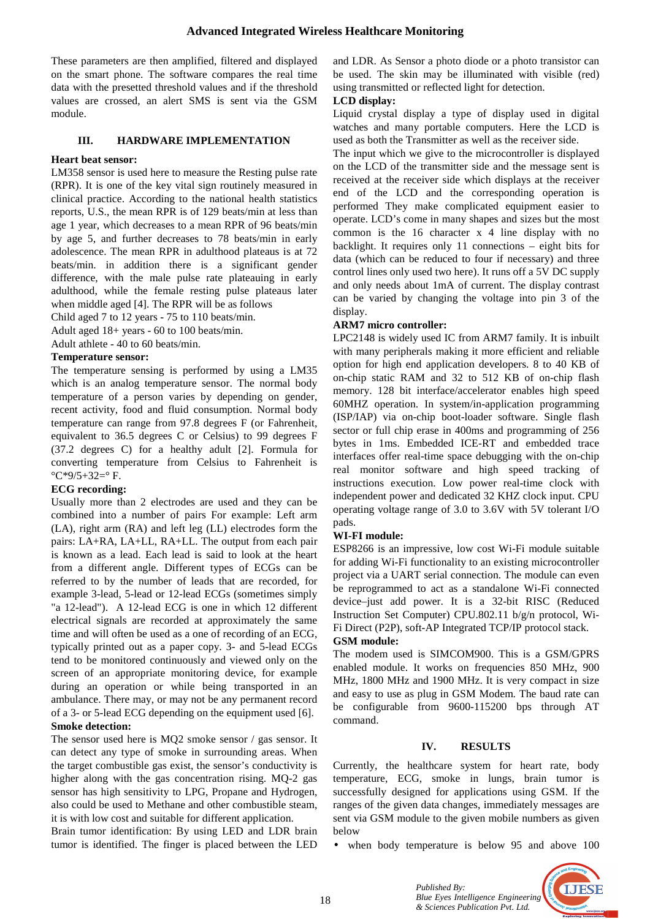## **Advanced Integrated Wireless Healthcare Monitoring**

These parameters are then amplified, filtered and displayed on the smart phone. The software compares the real time data with the presetted threshold values and if the threshold values are crossed, an alert SMS is sent via the GSM module.

## **III. HARDWARE IMPLEMENTATION**

## **Heart beat sensor:**

LM358 sensor is used here to measure the Resting pulse rate (RPR). It is one of the key vital sign routinely measured in clinical practice. According to the national health statistics reports, U.S., the mean RPR is of 129 beats/min at less than age 1 year, which decreases to a mean RPR of 96 beats/min by age 5, and further decreases to 78 beats/min in early adolescence. The mean RPR in adulthood plateaus is at 72 beats/min. in addition there is a significant gender difference, with the male pulse rate plateauing in early adulthood, while the female resting pulse plateaus later when middle aged [4]. The RPR will be as follows

Child aged 7 to 12 years - 75 to 110 beats/min.

Adult aged 18+ years - 60 to 100 beats/min.

Adult athlete - 40 to 60 beats/min.

#### **Temperature sensor:**

The temperature sensing is performed by using a LM35 which is an analog temperature sensor. The normal body temperature of a person varies by depending on gender, recent activity, food and fluid consumption. Normal body temperature can range from 97.8 degrees F (or Fahrenheit, equivalent to 36.5 degrees C or Celsius) to 99 degrees F (37.2 degrees C) for a healthy adult [2]. Formula for converting temperature from Celsius to Fahrenheit is  $^{\circ}$ C\*9/5+32= $^{\circ}$ F.

# **ECG recording:**

Usually more than 2 electrodes are used and they can be combined into a number of pairs For example: Left arm (LA), right arm (RA) and left leg (LL) electrodes form the pairs: LA+RA, LA+LL, RA+LL. The output from each pair is known as a lead. Each lead is said to look at the heart from a different angle. Different types of ECGs can be referred to by the number of leads that are recorded, for example 3-lead, 5-lead or 12-lead ECGs (sometimes simply "a 12-lead"). A 12-lead ECG is one in which 12 different electrical signals are recorded at approximately the same time and will often be used as a one of recording of an ECG, typically printed out as a paper copy. 3- and 5-lead ECGs tend to be monitored continuously and viewed only on the screen of an appropriate monitoring device, for example during an operation or while being transported in an ambulance. There may, or may not be any permanent record of a 3- or 5-lead ECG depending on the equipment used [6].

## **Smoke detection:**

The sensor used here is MQ2 smoke sensor / gas sensor. It can detect any type of smoke in surrounding areas. When the target combustible gas exist, the sensor's conductivity is higher along with the gas concentration rising. MQ-2 gas sensor has high sensitivity to LPG, Propane and Hydrogen, also could be used to Methane and other combustible steam, it is with low cost and suitable for different application.

Brain tumor identification: By using LED and LDR brain tumor is identified. The finger is placed between the LED

and LDR. As Sensor a photo diode or a photo transistor can be used. The skin may be illuminated with visible (red) using transmitted or reflected light for detection.

## **LCD display:**

Liquid crystal display a type of display used in digital watches and many portable computers. Here the LCD is used as both the Transmitter as well as the receiver side.

The input which we give to the microcontroller is displayed on the LCD of the transmitter side and the message sent is received at the receiver side which displays at the receiver end of the LCD and the corresponding operation is performed They make complicated equipment easier to operate. LCD's come in many shapes and sizes but the most common is the 16 character x 4 line display with no backlight. It requires only 11 connections – eight bits for data (which can be reduced to four if necessary) and three control lines only used two here). It runs off a 5V DC supply and only needs about 1mA of current. The display contrast can be varied by changing the voltage into pin 3 of the display.

#### **ARM7 micro controller:**

LPC2148 is widely used IC from ARM7 family. It is inbuilt with many peripherals making it more efficient and reliable option for high end application developers. 8 to 40 KB of on-chip static RAM and 32 to 512 KB of on-chip flash memory. 128 bit interface/accelerator enables high speed 60MHZ operation. In system/in-application programming (ISP/IAP) via on-chip boot-loader software. Single flash sector or full chip erase in 400ms and programming of 256 bytes in 1ms. Embedded ICE-RT and embedded trace interfaces offer real-time space debugging with the on-chip real monitor software and high speed tracking of instructions execution. Low power real-time clock with independent power and dedicated 32 KHZ clock input. CPU operating voltage range of 3.0 to 3.6V with 5V tolerant I/O pads.

# **WI-FI module:**

ESP8266 is an impressive, low cost Wi-Fi module suitable for adding Wi-Fi functionality to an existing microcontroller project via a UART serial connection. The module can even be reprogrammed to act as a standalone Wi-Fi connected device–just add power. It is a 32-bit RISC (Reduced Instruction Set Computer) CPU.802.11 b/g/n protocol, Wi-Fi Direct (P2P), soft-AP Integrated TCP/IP protocol stack.

#### **GSM module:**

The modem used is SIMCOM900. This is a GSM/GPRS enabled module. It works on frequencies 850 MHz, 900 MHz, 1800 MHz and 1900 MHz. It is very compact in size and easy to use as plug in GSM Modem. The baud rate can be configurable from 9600-115200 bps through AT command.

# **IV. RESULTS**

Currently, the healthcare system for heart rate, body temperature, ECG, smoke in lungs, brain tumor is successfully designed for applications using GSM. If the ranges of the given data changes, immediately messages are sent via GSM module to the given mobile numbers as given below

• when body temperature is below 95 and above 100



*Published By: Blue Eyes Intelligence Engineering & Sciences Publication Pvt. Ltd.*